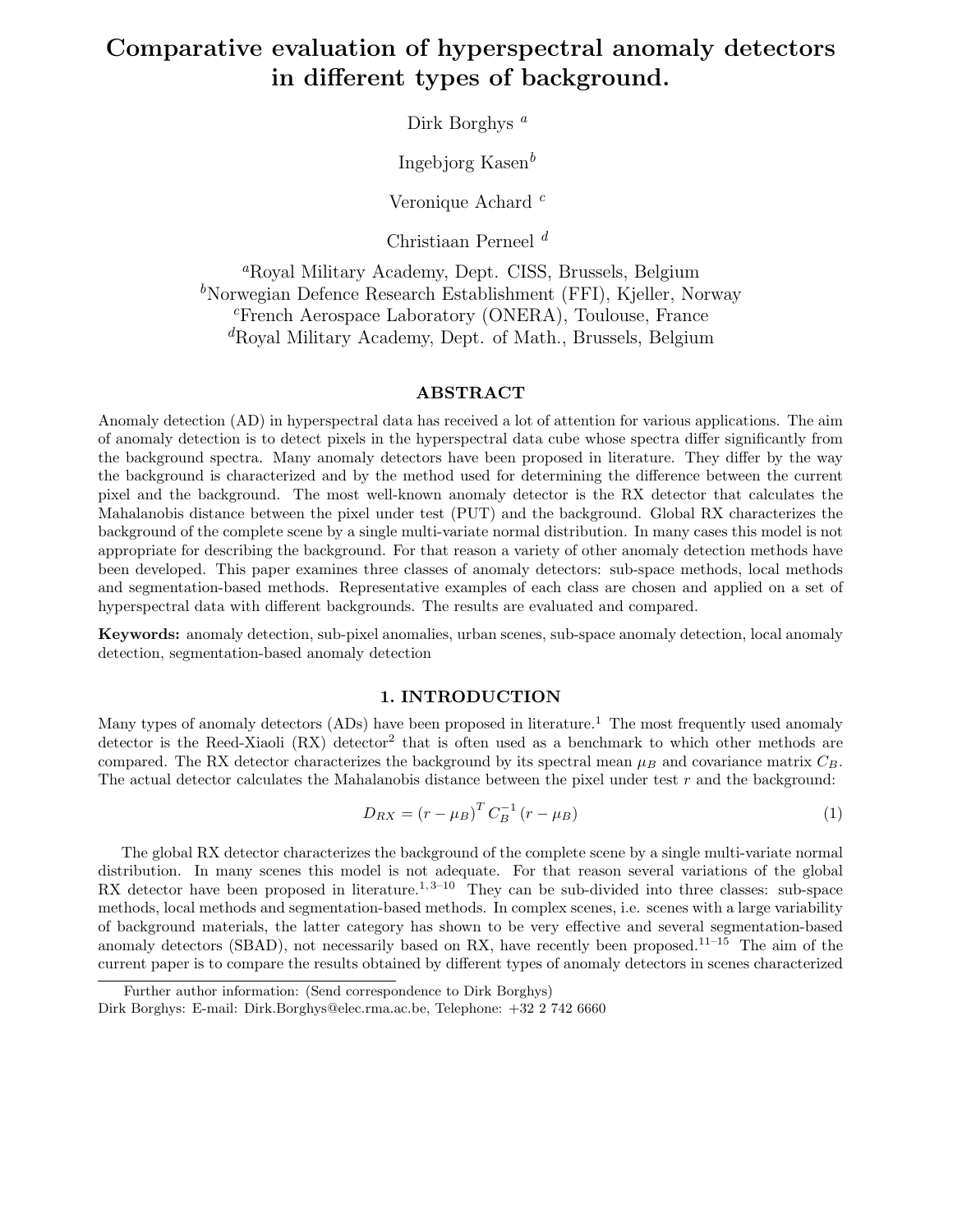# Comparative evaluation of hyperspectral anomaly detectors in different types of background.

Dirk Borghys<sup>a</sup>

Ingebjorg Kasen $<sup>b</sup>$ </sup>

Veronique Achard  $c$ 

Christiaan Perneel  $d$ 

<sup>a</sup>Royal Military Academy, Dept. CISS, Brussels, Belgium  $b$ Norwegian Defence Research Establishment (FFI), Kjeller, Norway <sup>c</sup>French Aerospace Laboratory (ONERA), Toulouse, France <sup>d</sup>Royal Military Academy, Dept. of Math., Brussels, Belgium

## ABSTRACT

Anomaly detection (AD) in hyperspectral data has received a lot of attention for various applications. The aim of anomaly detection is to detect pixels in the hyperspectral data cube whose spectra differ significantly from the background spectra. Many anomaly detectors have been proposed in literature. They differ by the way the background is characterized and by the method used for determining the difference between the current pixel and the background. The most well-known anomaly detector is the RX detector that calculates the Mahalanobis distance between the pixel under test (PUT) and the background. Global RX characterizes the background of the complete scene by a single multi-variate normal distribution. In many cases this model is not appropriate for describing the background. For that reason a variety of other anomaly detection methods have been developed. This paper examines three classes of anomaly detectors: sub-space methods, local methods and segmentation-based methods. Representative examples of each class are chosen and applied on a set of hyperspectral data with different backgrounds. The results are evaluated and compared.

Keywords: anomaly detection, sub-pixel anomalies, urban scenes, sub-space anomaly detection, local anomaly detection, segmentation-based anomaly detection

#### 1. INTRODUCTION

Many types of anomaly detectors (ADs) have been proposed in literature.<sup>1</sup> The most frequently used anomaly detector is the Reed-Xiaoli (RX) detector<sup>2</sup> that is often used as a benchmark to which other methods are compared. The RX detector characterizes the background by its spectral mean  $\mu_B$  and covariance matrix  $C_B$ . The actual detector calculates the Mahalanobis distance between the pixel under test r and the background:

$$
D_{RX} = (r - \mu_B)^T C_B^{-1} (r - \mu_B)
$$
\n(1)

The global RX detector characterizes the background of the complete scene by a single multi-variate normal distribution. In many scenes this model is not adequate. For that reason several variations of the global RX detector have been proposed in literature.<sup>1, 3–10</sup> They can be sub-divided into three classes: sub-space methods, local methods and segmentation-based methods. In complex scenes, i.e. scenes with a large variability of background materials, the latter category has shown to be very effective and several segmentation-based anomaly detectors (SBAD), not necessarily based on RX, have recently been proposed.<sup>11–15</sup> The aim of the current paper is to compare the results obtained by different types of anomaly detectors in scenes characterized

Further author information: (Send correspondence to Dirk Borghys)

Dirk Borghys: E-mail: Dirk.Borghys@elec.rma.ac.be, Telephone: +32 2 742 6660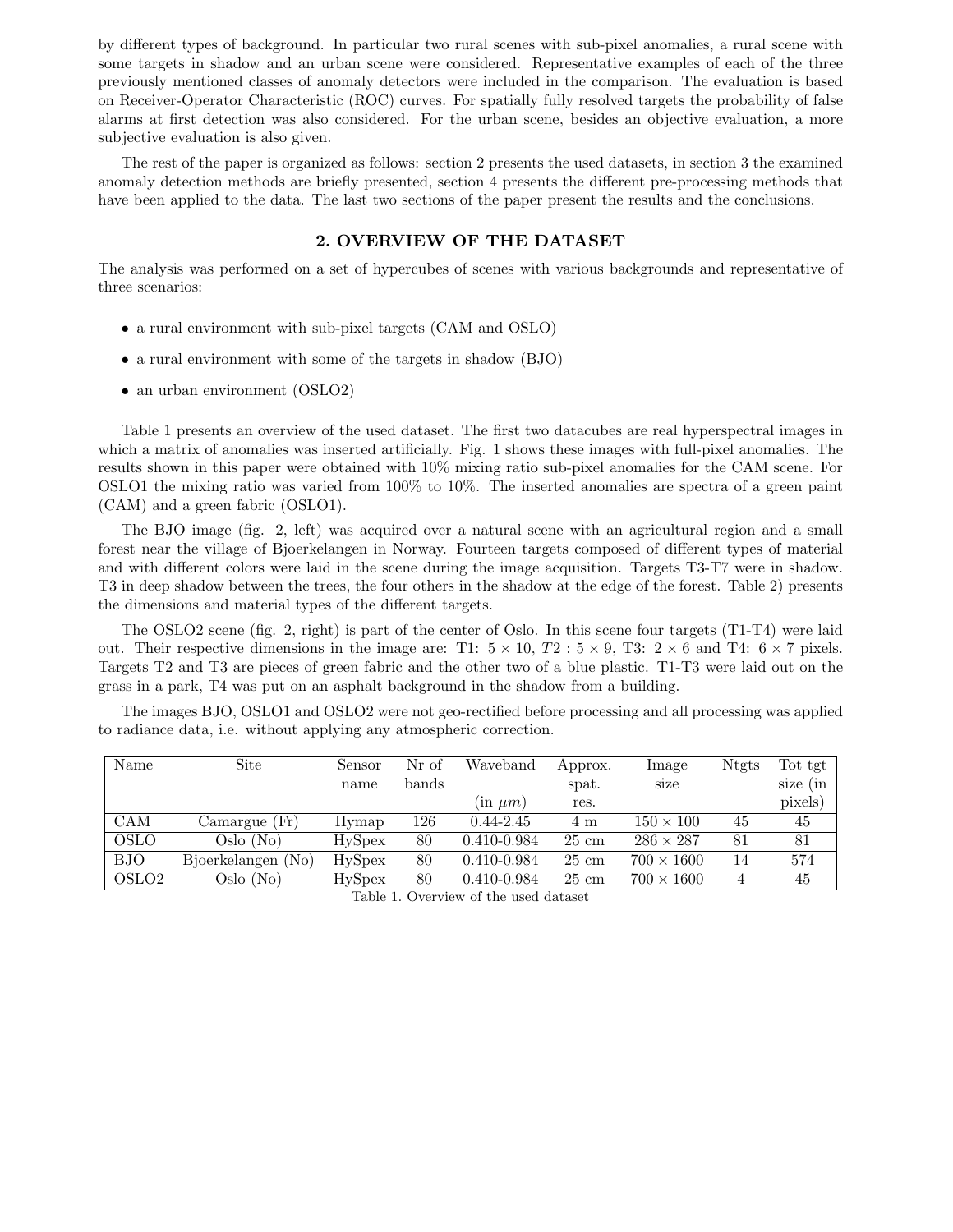by different types of background. In particular two rural scenes with sub-pixel anomalies, a rural scene with some targets in shadow and an urban scene were considered. Representative examples of each of the three previously mentioned classes of anomaly detectors were included in the comparison. The evaluation is based on Receiver-Operator Characteristic (ROC) curves. For spatially fully resolved targets the probability of false alarms at first detection was also considered. For the urban scene, besides an objective evaluation, a more subjective evaluation is also given.

The rest of the paper is organized as follows: section 2 presents the used datasets, in section 3 the examined anomaly detection methods are briefly presented, section 4 presents the different pre-processing methods that have been applied to the data. The last two sections of the paper present the results and the conclusions.

#### 2. OVERVIEW OF THE DATASET

The analysis was performed on a set of hypercubes of scenes with various backgrounds and representative of three scenarios:

- a rural environment with sub-pixel targets (CAM and OSLO)
- a rural environment with some of the targets in shadow (BJO)
- an urban environment (OSLO2)

Table 1 presents an overview of the used dataset. The first two datacubes are real hyperspectral images in which a matrix of anomalies was inserted artificially. Fig. 1 shows these images with full-pixel anomalies. The results shown in this paper were obtained with 10% mixing ratio sub-pixel anomalies for the CAM scene. For OSLO1 the mixing ratio was varied from 100% to 10%. The inserted anomalies are spectra of a green paint (CAM) and a green fabric (OSLO1).

The BJO image (fig. 2, left) was acquired over a natural scene with an agricultural region and a small forest near the village of Bjoerkelangen in Norway. Fourteen targets composed of different types of material and with different colors were laid in the scene during the image acquisition. Targets T3-T7 were in shadow. T3 in deep shadow between the trees, the four others in the shadow at the edge of the forest. Table 2) presents the dimensions and material types of the different targets.

The OSLO2 scene (fig. 2, right) is part of the center of Oslo. In this scene four targets (T1-T4) were laid out. Their respective dimensions in the image are: T1:  $5 \times 10$ ,  $T2$ :  $5 \times 9$ , T3:  $2 \times 6$  and T4:  $6 \times 7$  pixels. Targets T2 and T3 are pieces of green fabric and the other two of a blue plastic. T1-T3 were laid out on the grass in a park, T4 was put on an asphalt background in the shadow from a building.

The images BJO, OSLO1 and OSLO2 were not geo-rectified before processing and all processing was applied to radiance data, i.e. without applying any atmospheric correction.

| Name              | Site               | Sensor        | Nr of | Waveband             | Approx.         | Image             | <b>Ntgts</b> | Tot tgt    |
|-------------------|--------------------|---------------|-------|----------------------|-----------------|-------------------|--------------|------------|
|                   |                    | name          | bands |                      | spat.           | size              |              | size $(in$ |
|                   |                    |               |       | $(\text{in } \mu m)$ | res.            |                   |              | pixels)    |
| <b>CAM</b>        | Camargue(Fr)       | Hymap         | 126   | $0.44 - 2.45$        | 4 m             | $150 \times 100$  | 45           | 45         |
| <b>OSLO</b>       | Oslo (No)          | <b>HySpex</b> | 80    | 0.410-0.984          | $25 \text{ cm}$ | $286 \times 287$  | 81           | 81         |
| <b>BJO</b>        | Bjoerkelangen (No) | <b>HySpex</b> | 80    | 0.410-0.984          | $25 \text{ cm}$ | $700 \times 1600$ | 14           | 574        |
| OSLO <sub>2</sub> | Oslo (No)          | HySpex        | 80    | 0.410-0.984          | $25 \text{ cm}$ | $700 \times 1600$ |              | 45         |

Table 1. Overview of the used dataset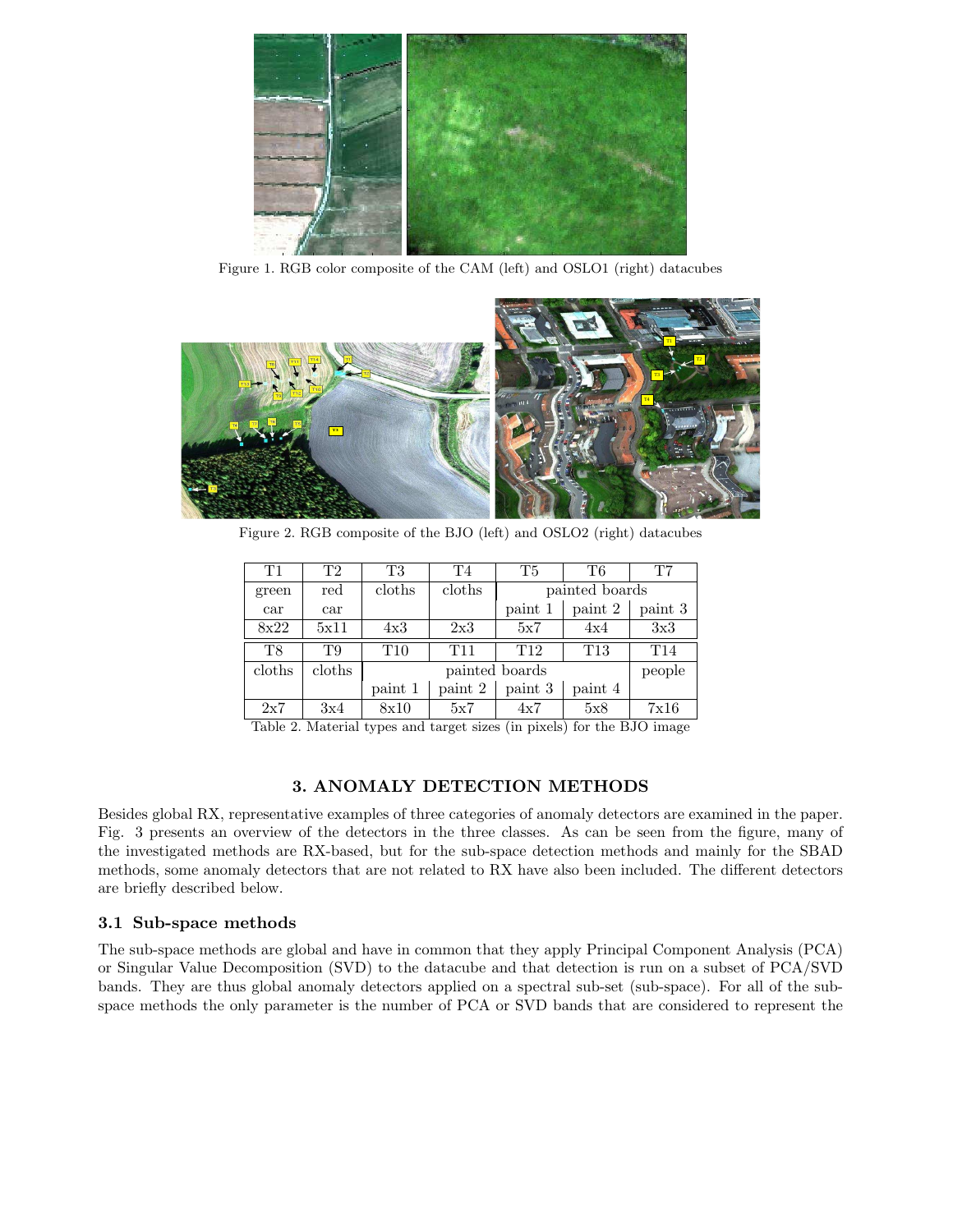

Figure 1. RGB color composite of the CAM (left) and OSLO1 (right) datacubes



Figure 2. RGB composite of the BJO (left) and OSLO2 (right) datacubes

| T1     | T2     | T3      | T4              | <b>T5</b>       | Т6              | T7              |
|--------|--------|---------|-----------------|-----------------|-----------------|-----------------|
| green  | red    | cloths  | cloths          | painted boards  |                 |                 |
| car    | car    |         |                 | paint 1         | paint 2         | paint 3         |
| 8x22   | 5x11   | 4x3     | 2x3             | 5x7             | 4x4             | 3x3             |
| T8     | T9     | T10     | T <sub>11</sub> | T <sub>12</sub> | T <sub>13</sub> | T <sub>14</sub> |
| cloths | cloths |         | painted boards  |                 |                 | people          |
|        |        | paint 1 | paint 2         | paint 3         | paint 4         |                 |
| 2x7    | 3x4    | 8x10    | 5x7             | 4x7             | 5x8             | 7x16            |

Table 2. Material types and target sizes (in pixels) for the BJO image

# 3. ANOMALY DETECTION METHODS

Besides global RX, representative examples of three categories of anomaly detectors are examined in the paper. Fig. 3 presents an overview of the detectors in the three classes. As can be seen from the figure, many of the investigated methods are RX-based, but for the sub-space detection methods and mainly for the SBAD methods, some anomaly detectors that are not related to RX have also been included. The different detectors are briefly described below.

## 3.1 Sub-space methods

The sub-space methods are global and have in common that they apply Principal Component Analysis (PCA) or Singular Value Decomposition (SVD) to the datacube and that detection is run on a subset of PCA/SVD bands. They are thus global anomaly detectors applied on a spectral sub-set (sub-space). For all of the subspace methods the only parameter is the number of PCA or SVD bands that are considered to represent the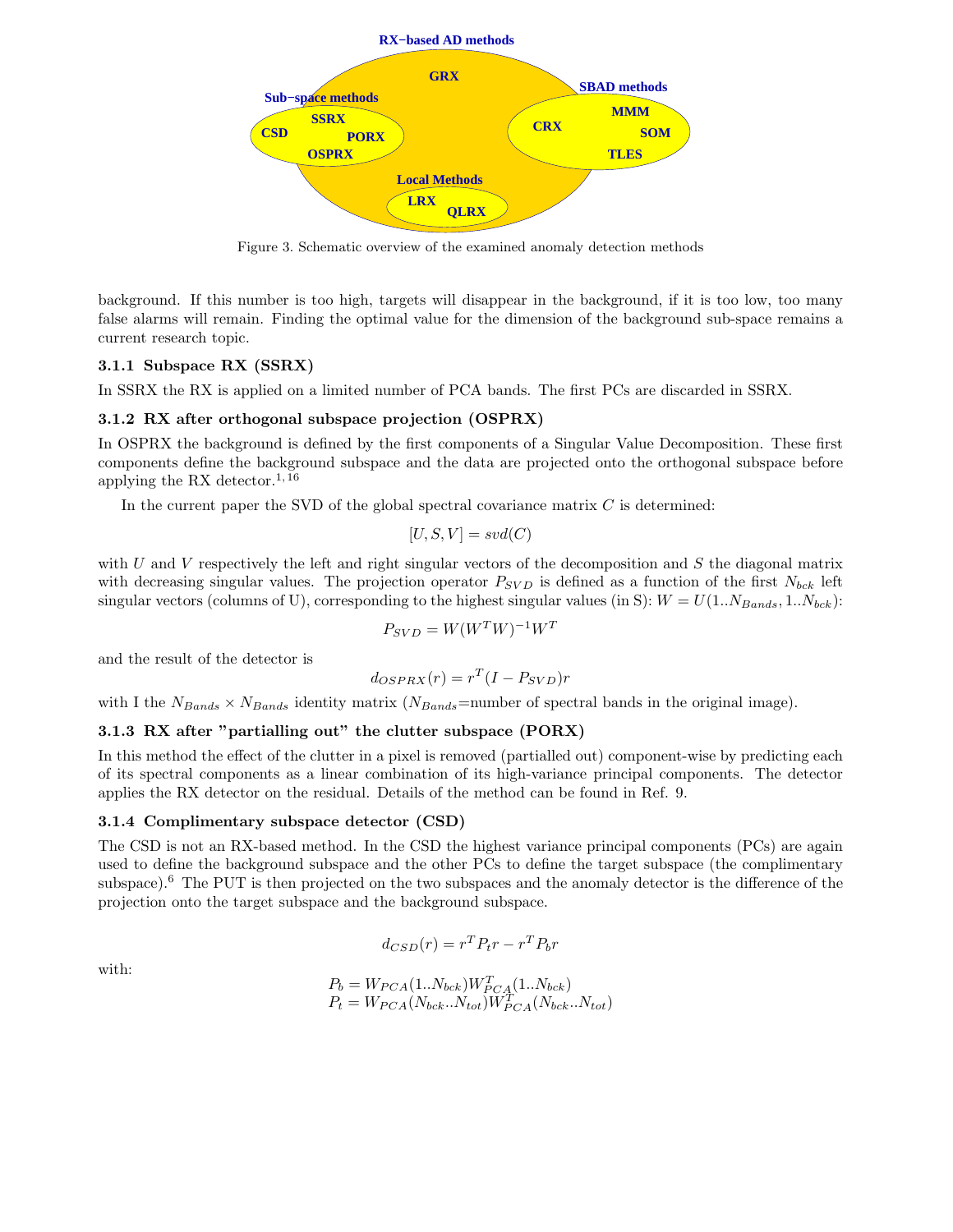

Figure 3. Schematic overview of the examined anomaly detection methods

background. If this number is too high, targets will disappear in the background, if it is too low, too many false alarms will remain. Finding the optimal value for the dimension of the background sub-space remains a current research topic.

#### 3.1.1 Subspace RX (SSRX)

In SSRX the RX is applied on a limited number of PCA bands. The first PCs are discarded in SSRX.

#### 3.1.2 RX after orthogonal subspace projection (OSPRX)

In OSPRX the background is defined by the first components of a Singular Value Decomposition. These first components define the background subspace and the data are projected onto the orthogonal subspace before applying the RX detector.<sup>1, 16</sup>

In the current paper the SVD of the global spectral covariance matrix  $C$  is determined:

$$
[U, S, V] = svd(C)
$$

with U and V respectively the left and right singular vectors of the decomposition and  $S$  the diagonal matrix with decreasing singular values. The projection operator  $P_{SVD}$  is defined as a function of the first  $N_{bck}$  left singular vectors (columns of U), corresponding to the highest singular values (in S):  $W = U(1..N_{bands}, 1..N_{bck})$ :

$$
P_{SVD} = W(W^T W)^{-1} W^T
$$

and the result of the detector is

$$
d_{OSPRX}(r) = r^T (I - P_{SVD})r
$$

with I the  $N_{Bands} \times N_{Bands}$  identity matrix  $(N_{Bands}=$ number of spectral bands in the original image).

#### 3.1.3 RX after "partialling out" the clutter subspace (PORX)

In this method the effect of the clutter in a pixel is removed (partialled out) component-wise by predicting each of its spectral components as a linear combination of its high-variance principal components. The detector applies the RX detector on the residual. Details of the method can be found in Ref. 9.

#### 3.1.4 Complimentary subspace detector (CSD)

The CSD is not an RX-based method. In the CSD the highest variance principal components (PCs) are again used to define the background subspace and the other PCs to define the target subspace (the complimentary subspace).<sup>6</sup> The PUT is then projected on the two subspaces and the anomaly detector is the difference of the projection onto the target subspace and the background subspace.

$$
d_{CSD}(r) = r^T P_t r - r^T P_b r
$$

with:

$$
P_b = W_{PCA}(1..N_{bck})W_{PCA}^T(1..N_{bck})
$$
  

$$
P_t = W_{PCA}(N_{bck}..N_{tot})W_{PCA}^T(N_{bck}..N_{tot})
$$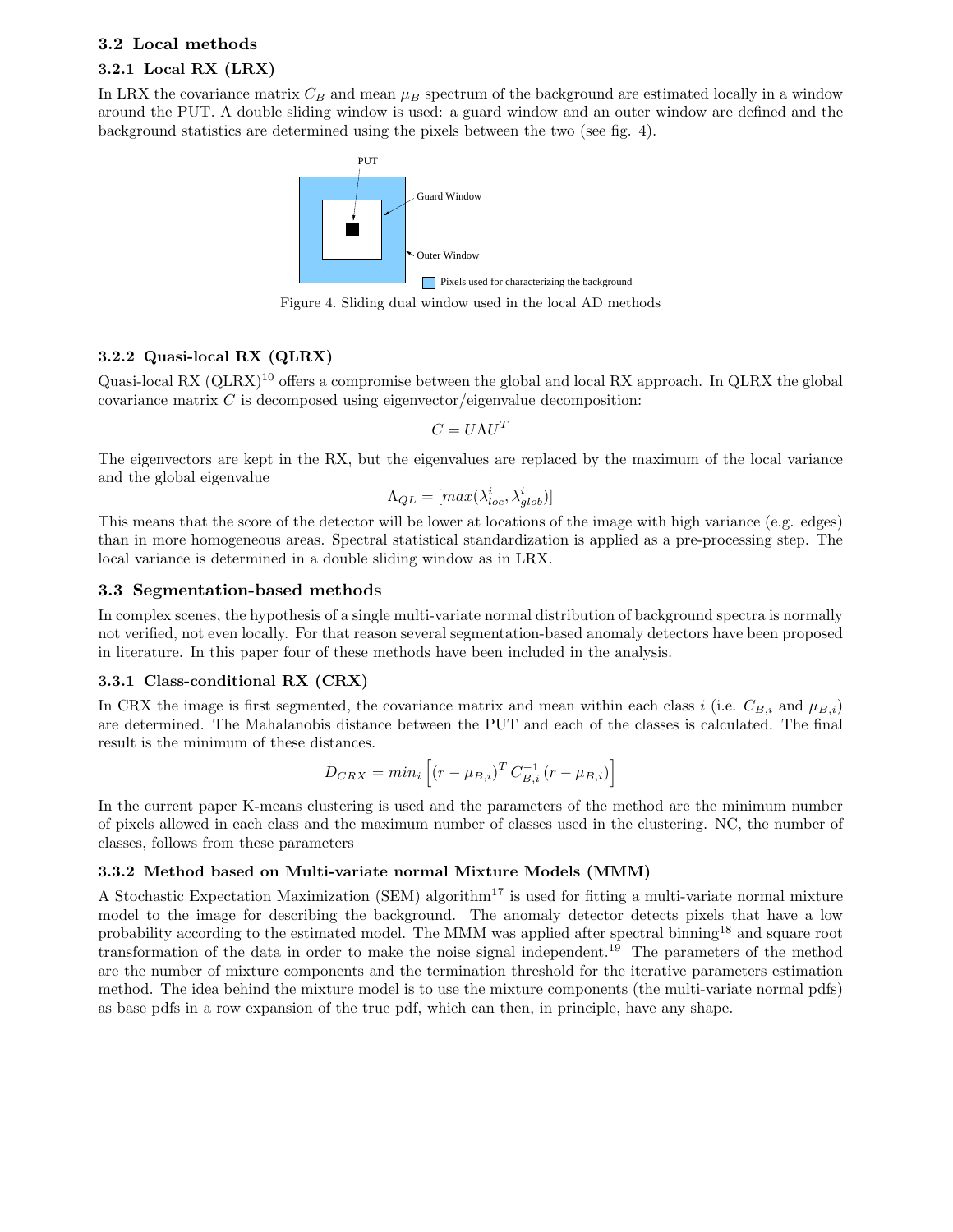# 3.2 Local methods 3.2.1 Local RX (LRX)

In LRX the covariance matrix  $C_B$  and mean  $\mu_B$  spectrum of the background are estimated locally in a window around the PUT. A double sliding window is used: a guard window and an outer window are defined and the background statistics are determined using the pixels between the two (see fig. 4).



Figure 4. Sliding dual window used in the local AD methods

## 3.2.2 Quasi-local RX (QLRX)

Quasi-local RX (QLRX)<sup>10</sup> offers a compromise between the global and local RX approach. In QLRX the global covariance matrix  $C$  is decomposed using eigenvector/eigenvalue decomposition:

$$
C = U \Lambda U^T
$$

The eigenvectors are kept in the RX, but the eigenvalues are replaced by the maximum of the local variance and the global eigenvalue

$$
\Lambda_{QL} = [max(\lambda_{loc}^i, \lambda_{glob}^i)]
$$

This means that the score of the detector will be lower at locations of the image with high variance (e.g. edges) than in more homogeneous areas. Spectral statistical standardization is applied as a pre-processing step. The local variance is determined in a double sliding window as in LRX.

## 3.3 Segmentation-based methods

In complex scenes, the hypothesis of a single multi-variate normal distribution of background spectra is normally not verified, not even locally. For that reason several segmentation-based anomaly detectors have been proposed in literature. In this paper four of these methods have been included in the analysis.

#### 3.3.1 Class-conditional RX (CRX)

In CRX the image is first segmented, the covariance matrix and mean within each class i (i.e.  $C_{B,i}$  and  $\mu_{B,i}$ ) are determined. The Mahalanobis distance between the PUT and each of the classes is calculated. The final result is the minimum of these distances.

$$
D_{CRX} = min_i \left[ (r - \mu_{B,i})^T C_{B,i}^{-1} (r - \mu_{B,i}) \right]
$$

In the current paper K-means clustering is used and the parameters of the method are the minimum number of pixels allowed in each class and the maximum number of classes used in the clustering. NC, the number of classes, follows from these parameters

## 3.3.2 Method based on Multi-variate normal Mixture Models (MMM)

A Stochastic Expectation Maximization (SEM) algorithm<sup>17</sup> is used for fitting a multi-variate normal mixture model to the image for describing the background. The anomaly detector detects pixels that have a low probability according to the estimated model. The MMM was applied after spectral binning<sup>18</sup> and square root transformation of the data in order to make the noise signal independent.<sup>19</sup> The parameters of the method are the number of mixture components and the termination threshold for the iterative parameters estimation method. The idea behind the mixture model is to use the mixture components (the multi-variate normal pdfs) as base pdfs in a row expansion of the true pdf, which can then, in principle, have any shape.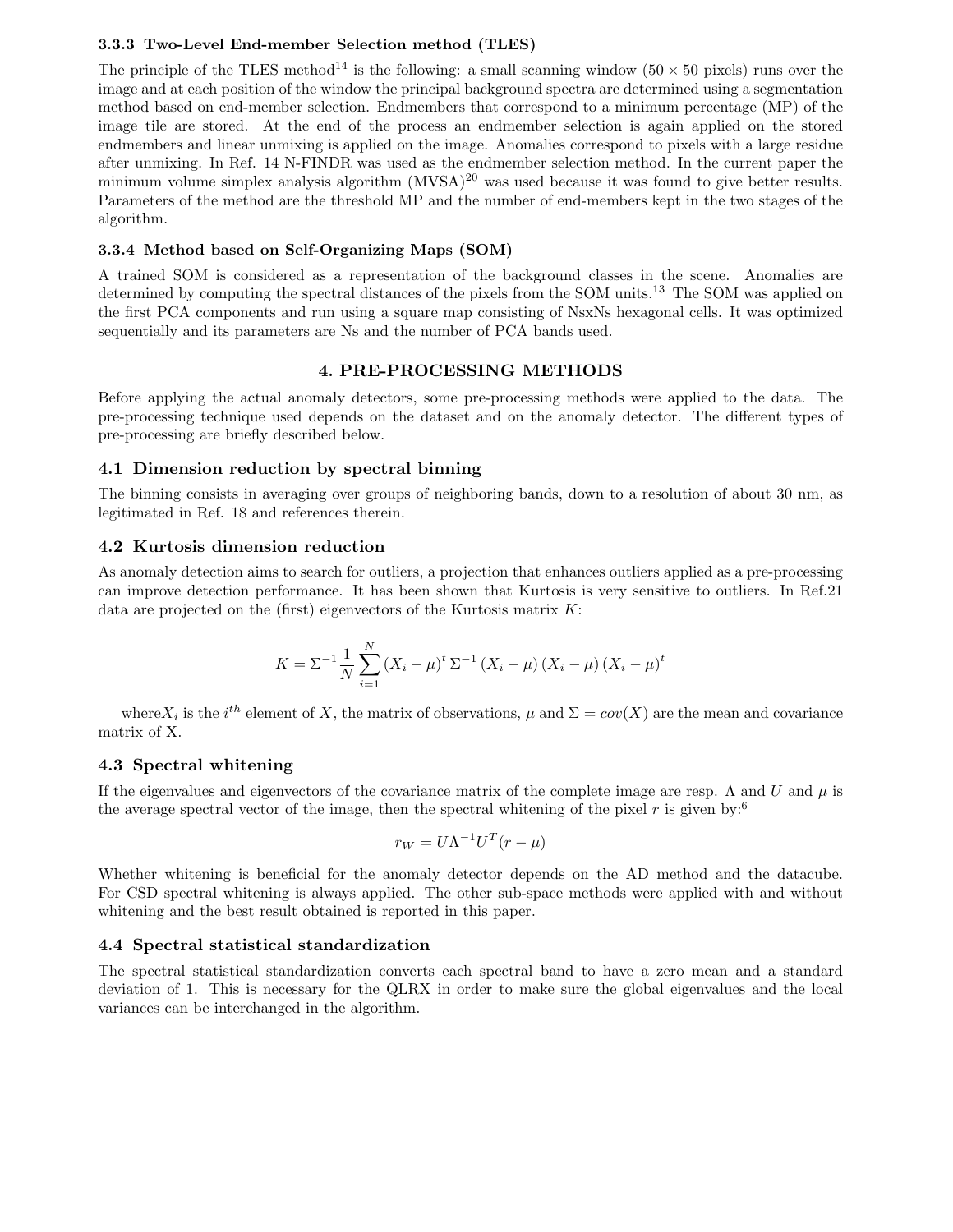#### 3.3.3 Two-Level End-member Selection method (TLES)

The principle of the TLES method<sup>14</sup> is the following: a small scanning window (50  $\times$  50 pixels) runs over the image and at each position of the window the principal background spectra are determined using a segmentation method based on end-member selection. Endmembers that correspond to a minimum percentage (MP) of the image tile are stored. At the end of the process an endmember selection is again applied on the stored endmembers and linear unmixing is applied on the image. Anomalies correspond to pixels with a large residue after unmixing. In Ref. 14 N-FINDR was used as the endmember selection method. In the current paper the minimum volume simplex analysis algorithm  $(MVSA)^{20}$  was used because it was found to give better results. Parameters of the method are the threshold MP and the number of end-members kept in the two stages of the algorithm.

### 3.3.4 Method based on Self-Organizing Maps (SOM)

A trained SOM is considered as a representation of the background classes in the scene. Anomalies are determined by computing the spectral distances of the pixels from the SOM units.<sup>13</sup> The SOM was applied on the first PCA components and run using a square map consisting of NsxNs hexagonal cells. It was optimized sequentially and its parameters are Ns and the number of PCA bands used.

## 4. PRE-PROCESSING METHODS

Before applying the actual anomaly detectors, some pre-processing methods were applied to the data. The pre-processing technique used depends on the dataset and on the anomaly detector. The different types of pre-processing are briefly described below.

## 4.1 Dimension reduction by spectral binning

The binning consists in averaging over groups of neighboring bands, down to a resolution of about 30 nm, as legitimated in Ref. 18 and references therein.

#### 4.2 Kurtosis dimension reduction

As anomaly detection aims to search for outliers, a projection that enhances outliers applied as a pre-processing can improve detection performance. It has been shown that Kurtosis is very sensitive to outliers. In Ref.21 data are projected on the (first) eigenvectors of the Kurtosis matrix  $K$ :

$$
K = \Sigma^{-1} \frac{1}{N} \sum_{i=1}^{N} (X_i - \mu)^t \Sigma^{-1} (X_i - \mu) (X_i - \mu) (X_i - \mu)^t
$$

where  $X_i$  is the i<sup>th</sup> element of X, the matrix of observations,  $\mu$  and  $\Sigma = cov(X)$  are the mean and covariance matrix of X.

## 4.3 Spectral whitening

If the eigenvalues and eigenvectors of the covariance matrix of the complete image are resp.  $\Lambda$  and U and  $\mu$  is the average spectral vector of the image, then the spectral whitening of the pixel r is given by:<sup>6</sup>

$$
r_W = U\Lambda^{-1}U^T(r - \mu)
$$

Whether whitening is beneficial for the anomaly detector depends on the AD method and the datacube. For CSD spectral whitening is always applied. The other sub-space methods were applied with and without whitening and the best result obtained is reported in this paper.

## 4.4 Spectral statistical standardization

The spectral statistical standardization converts each spectral band to have a zero mean and a standard deviation of 1. This is necessary for the QLRX in order to make sure the global eigenvalues and the local variances can be interchanged in the algorithm.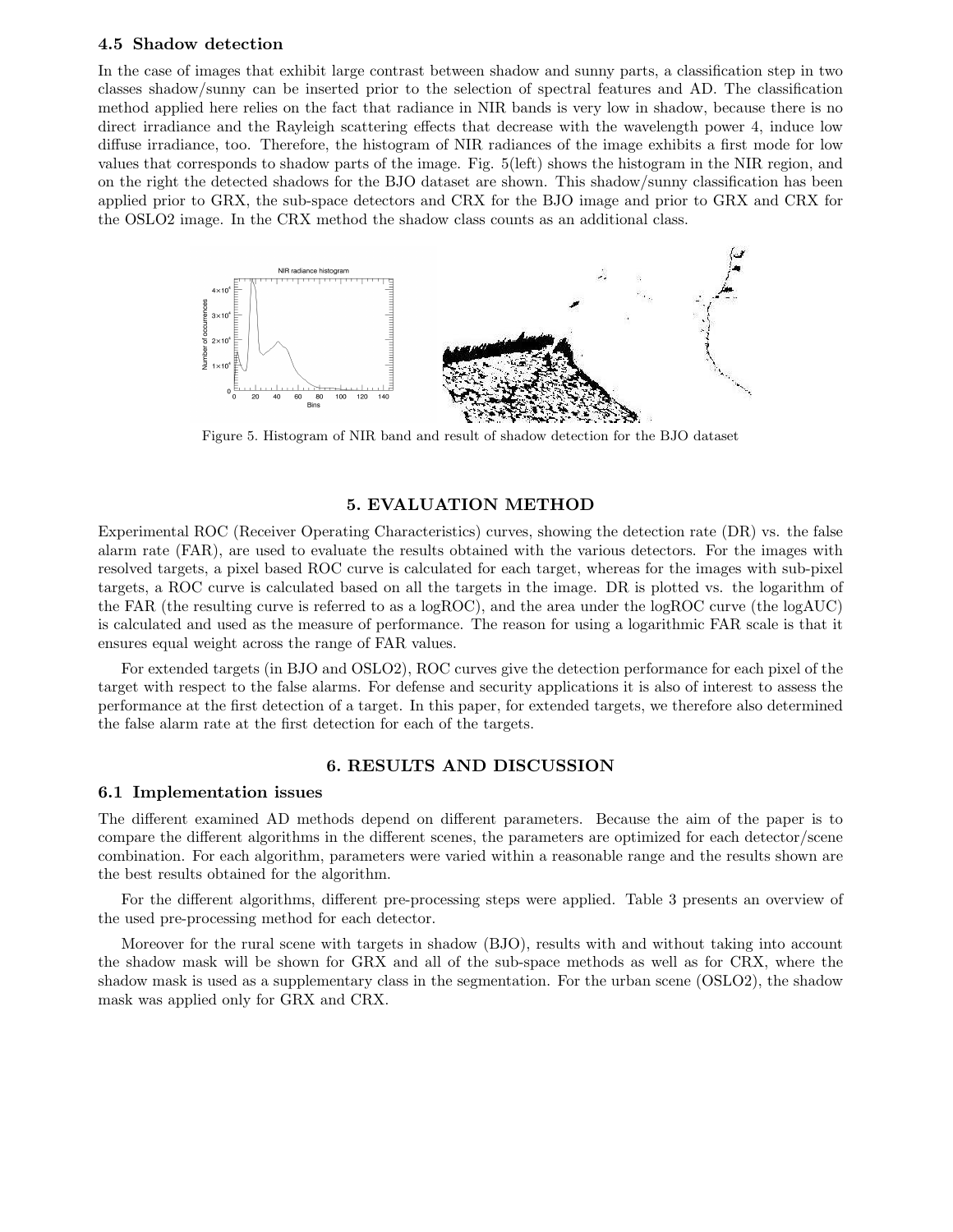#### 4.5 Shadow detection

In the case of images that exhibit large contrast between shadow and sunny parts, a classification step in two classes shadow/sunny can be inserted prior to the selection of spectral features and AD. The classification method applied here relies on the fact that radiance in NIR bands is very low in shadow, because there is no direct irradiance and the Rayleigh scattering effects that decrease with the wavelength power 4, induce low diffuse irradiance, too. Therefore, the histogram of NIR radiances of the image exhibits a first mode for low values that corresponds to shadow parts of the image. Fig. 5(left) shows the histogram in the NIR region, and on the right the detected shadows for the BJO dataset are shown. This shadow/sunny classification has been applied prior to GRX, the sub-space detectors and CRX for the BJO image and prior to GRX and CRX for the OSLO2 image. In the CRX method the shadow class counts as an additional class.



Figure 5. Histogram of NIR band and result of shadow detection for the BJO dataset

## 5. EVALUATION METHOD

Experimental ROC (Receiver Operating Characteristics) curves, showing the detection rate (DR) vs. the false alarm rate (FAR), are used to evaluate the results obtained with the various detectors. For the images with resolved targets, a pixel based ROC curve is calculated for each target, whereas for the images with sub-pixel targets, a ROC curve is calculated based on all the targets in the image. DR is plotted vs. the logarithm of the FAR (the resulting curve is referred to as a logROC), and the area under the logROC curve (the logAUC) is calculated and used as the measure of performance. The reason for using a logarithmic FAR scale is that it ensures equal weight across the range of FAR values.

For extended targets (in BJO and OSLO2), ROC curves give the detection performance for each pixel of the target with respect to the false alarms. For defense and security applications it is also of interest to assess the performance at the first detection of a target. In this paper, for extended targets, we therefore also determined the false alarm rate at the first detection for each of the targets.

#### 6. RESULTS AND DISCUSSION

#### 6.1 Implementation issues

The different examined AD methods depend on different parameters. Because the aim of the paper is to compare the different algorithms in the different scenes, the parameters are optimized for each detector/scene combination. For each algorithm, parameters were varied within a reasonable range and the results shown are the best results obtained for the algorithm.

For the different algorithms, different pre-processing steps were applied. Table 3 presents an overview of the used pre-processing method for each detector.

Moreover for the rural scene with targets in shadow (BJO), results with and without taking into account the shadow mask will be shown for GRX and all of the sub-space methods as well as for CRX, where the shadow mask is used as a supplementary class in the segmentation. For the urban scene (OSLO2), the shadow mask was applied only for GRX and CRX.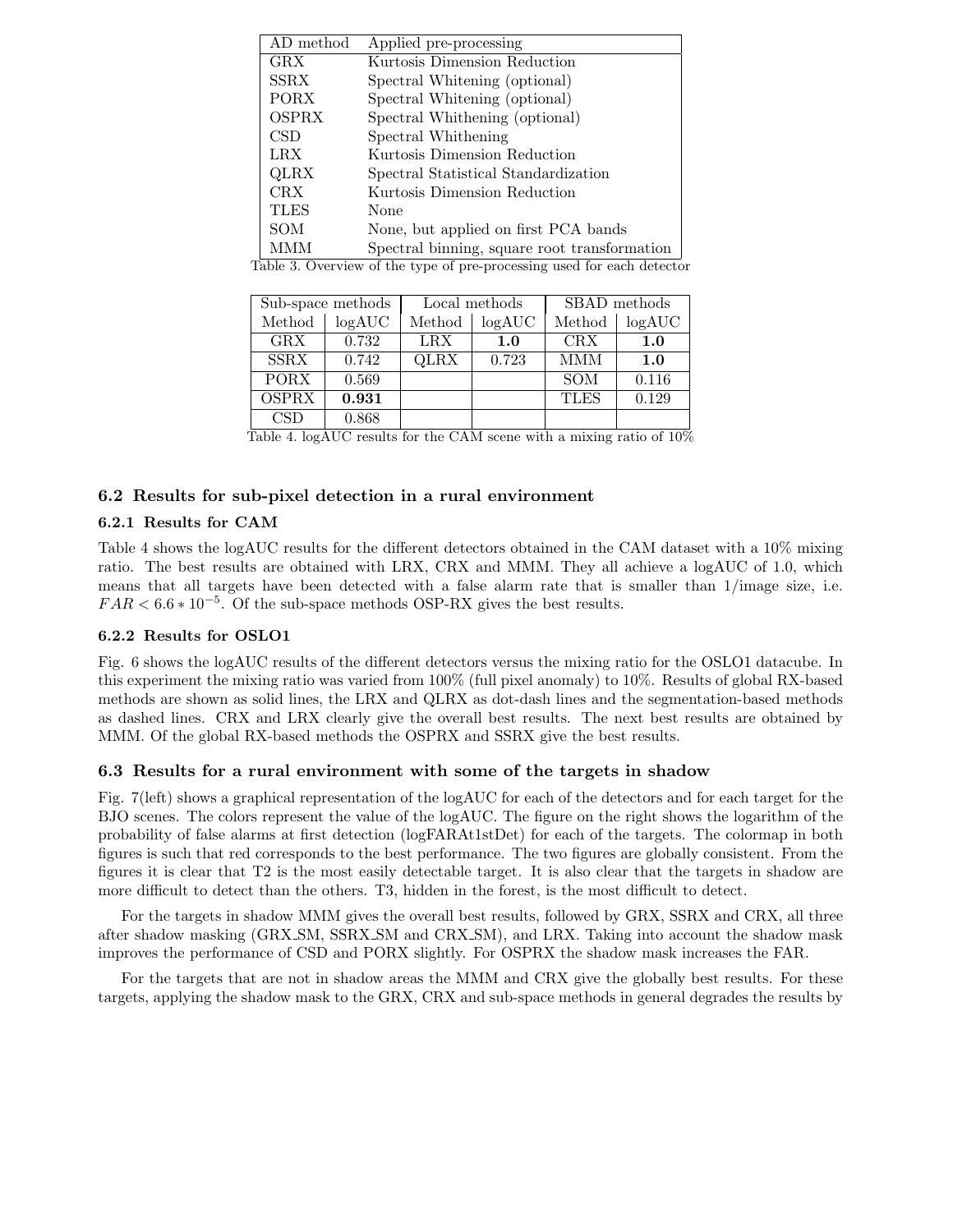| AD method           | Applied pre-processing                                                                                       |
|---------------------|--------------------------------------------------------------------------------------------------------------|
| GRX                 | Kurtosis Dimension Reduction                                                                                 |
| SSRX                | Spectral Whitening (optional)                                                                                |
| PORX                | Spectral Whitening (optional)                                                                                |
| <b>OSPRX</b>        | Spectral Whithening (optional)                                                                               |
| CSD.                | Spectral Whithening                                                                                          |
| <b>LRX</b>          | Kurtosis Dimension Reduction                                                                                 |
| QLRX                | Spectral Statistical Standardization                                                                         |
| CRX.                | Kurtosis Dimension Reduction                                                                                 |
| <b>TLES</b>         | None                                                                                                         |
| SOM                 | None, but applied on first PCA bands                                                                         |
| <b>MMM</b><br>ה ווי | Spectral binning, square root transformation<br>$\cdot$ can convert the set of $\cdot$ in the set of $\cdot$ |

Table 3. Overview of the type of pre-processing used for each detector

|              | Sub-space methods |        | Local methods | SBAD methods |         |  |
|--------------|-------------------|--------|---------------|--------------|---------|--|
| Method       | log AUC           | Method | log AUC       | Method       | log AUC |  |
| GRX          | 0.732             | LRX    | 1.0           | <b>CRX</b>   | 1.0     |  |
| <b>SSRX</b>  | 0.742             | QLRX   | 0.723         | <b>MMM</b>   | 1.0     |  |
| <b>PORX</b>  | 0.569             |        |               | <b>SOM</b>   | 0.116   |  |
| <b>OSPRX</b> | 0.931             |        |               | <b>TLES</b>  | 0.129   |  |
| CSD          | 0.868             |        |               |              |         |  |

Table 4. logAUC results for the CAM scene with a mixing ratio of 10%

## 6.2 Results for sub-pixel detection in a rural environment

#### 6.2.1 Results for CAM

Table 4 shows the logAUC results for the different detectors obtained in the CAM dataset with a 10% mixing ratio. The best results are obtained with LRX, CRX and MMM. They all achieve a logAUC of 1.0, which means that all targets have been detected with a false alarm rate that is smaller than 1/image size, i.e.  $FAR < 6.6 * 10^{-5}$ . Of the sub-space methods OSP-RX gives the best results.

#### 6.2.2 Results for OSLO1

Fig. 6 shows the logAUC results of the different detectors versus the mixing ratio for the OSLO1 datacube. In this experiment the mixing ratio was varied from 100% (full pixel anomaly) to 10%. Results of global RX-based methods are shown as solid lines, the LRX and QLRX as dot-dash lines and the segmentation-based methods as dashed lines. CRX and LRX clearly give the overall best results. The next best results are obtained by MMM. Of the global RX-based methods the OSPRX and SSRX give the best results.

#### 6.3 Results for a rural environment with some of the targets in shadow

Fig. 7(left) shows a graphical representation of the logAUC for each of the detectors and for each target for the BJO scenes. The colors represent the value of the logAUC. The figure on the right shows the logarithm of the probability of false alarms at first detection (logFARAt1stDet) for each of the targets. The colormap in both figures is such that red corresponds to the best performance. The two figures are globally consistent. From the figures it is clear that T2 is the most easily detectable target. It is also clear that the targets in shadow are more difficult to detect than the others. T3, hidden in the forest, is the most difficult to detect.

For the targets in shadow MMM gives the overall best results, followed by GRX, SSRX and CRX, all three after shadow masking (GRX SM, SSRX SM and CRX SM), and LRX. Taking into account the shadow mask improves the performance of CSD and PORX slightly. For OSPRX the shadow mask increases the FAR.

For the targets that are not in shadow areas the MMM and CRX give the globally best results. For these targets, applying the shadow mask to the GRX, CRX and sub-space methods in general degrades the results by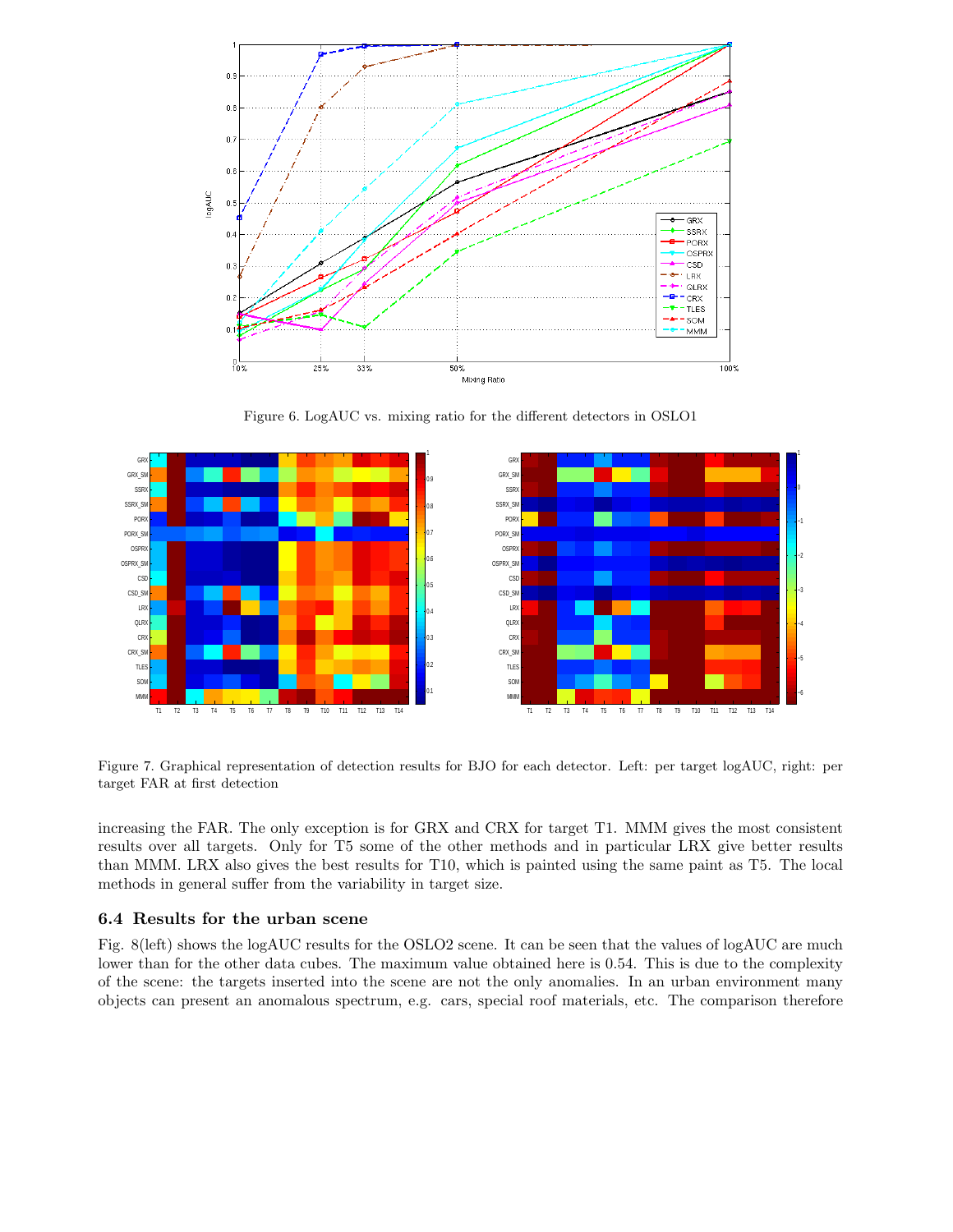

Figure 6. LogAUC vs. mixing ratio for the different detectors in OSLO1



Figure 7. Graphical representation of detection results for BJO for each detector. Left: per target logAUC, right: per target FAR at first detection

increasing the FAR. The only exception is for GRX and CRX for target T1. MMM gives the most consistent results over all targets. Only for T5 some of the other methods and in particular LRX give better results than MMM. LRX also gives the best results for T10, which is painted using the same paint as T5. The local methods in general suffer from the variability in target size.

#### 6.4 Results for the urban scene

Fig. 8(left) shows the logAUC results for the OSLO2 scene. It can be seen that the values of logAUC are much lower than for the other data cubes. The maximum value obtained here is 0.54. This is due to the complexity of the scene: the targets inserted into the scene are not the only anomalies. In an urban environment many objects can present an anomalous spectrum, e.g. cars, special roof materials, etc. The comparison therefore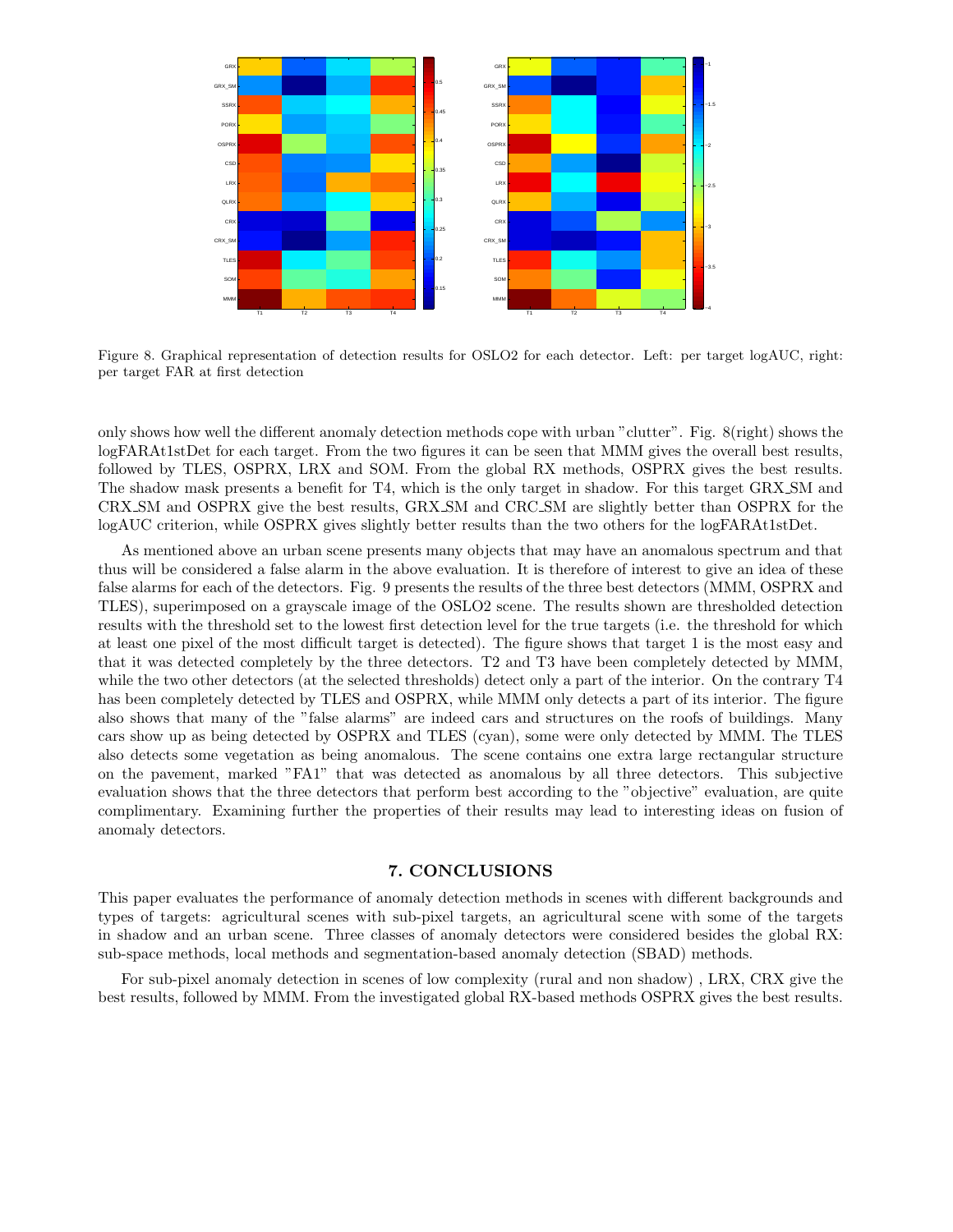

Figure 8. Graphical representation of detection results for OSLO2 for each detector. Left: per target logAUC, right: per target FAR at first detection

only shows how well the different anomaly detection methods cope with urban "clutter". Fig. 8(right) shows the logFARAt1stDet for each target. From the two figures it can be seen that MMM gives the overall best results, followed by TLES, OSPRX, LRX and SOM. From the global RX methods, OSPRX gives the best results. The shadow mask presents a benefit for T4, which is the only target in shadow. For this target GRX SM and CRX SM and OSPRX give the best results, GRX SM and CRC SM are slightly better than OSPRX for the logAUC criterion, while OSPRX gives slightly better results than the two others for the logFARAt1stDet.

As mentioned above an urban scene presents many objects that may have an anomalous spectrum and that thus will be considered a false alarm in the above evaluation. It is therefore of interest to give an idea of these false alarms for each of the detectors. Fig. 9 presents the results of the three best detectors (MMM, OSPRX and TLES), superimposed on a grayscale image of the OSLO2 scene. The results shown are thresholded detection results with the threshold set to the lowest first detection level for the true targets (i.e. the threshold for which at least one pixel of the most difficult target is detected). The figure shows that target 1 is the most easy and that it was detected completely by the three detectors. T2 and T3 have been completely detected by MMM, while the two other detectors (at the selected thresholds) detect only a part of the interior. On the contrary T4 has been completely detected by TLES and OSPRX, while MMM only detects a part of its interior. The figure also shows that many of the "false alarms" are indeed cars and structures on the roofs of buildings. Many cars show up as being detected by OSPRX and TLES (cyan), some were only detected by MMM. The TLES also detects some vegetation as being anomalous. The scene contains one extra large rectangular structure on the pavement, marked "FA1" that was detected as anomalous by all three detectors. This subjective evaluation shows that the three detectors that perform best according to the "objective" evaluation, are quite complimentary. Examining further the properties of their results may lead to interesting ideas on fusion of anomaly detectors.

## 7. CONCLUSIONS

This paper evaluates the performance of anomaly detection methods in scenes with different backgrounds and types of targets: agricultural scenes with sub-pixel targets, an agricultural scene with some of the targets in shadow and an urban scene. Three classes of anomaly detectors were considered besides the global RX: sub-space methods, local methods and segmentation-based anomaly detection (SBAD) methods.

For sub-pixel anomaly detection in scenes of low complexity (rural and non shadow) , LRX, CRX give the best results, followed by MMM. From the investigated global RX-based methods OSPRX gives the best results.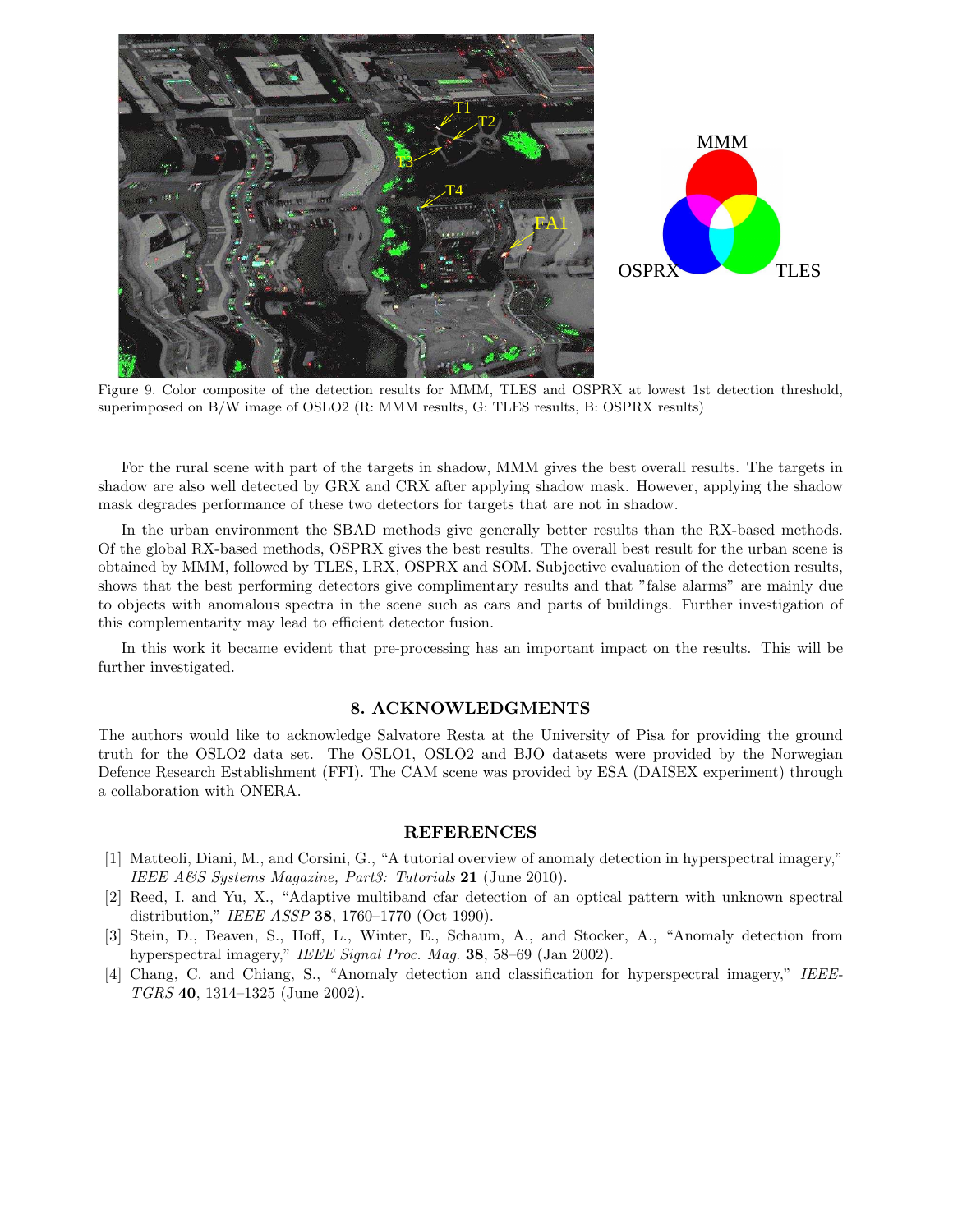

Figure 9. Color composite of the detection results for MMM, TLES and OSPRX at lowest 1st detection threshold, superimposed on B/W image of OSLO2 (R: MMM results, G: TLES results, B: OSPRX results)

For the rural scene with part of the targets in shadow, MMM gives the best overall results. The targets in shadow are also well detected by GRX and CRX after applying shadow mask. However, applying the shadow mask degrades performance of these two detectors for targets that are not in shadow.

In the urban environment the SBAD methods give generally better results than the RX-based methods. Of the global RX-based methods, OSPRX gives the best results. The overall best result for the urban scene is obtained by MMM, followed by TLES, LRX, OSPRX and SOM. Subjective evaluation of the detection results, shows that the best performing detectors give complimentary results and that "false alarms" are mainly due to objects with anomalous spectra in the scene such as cars and parts of buildings. Further investigation of this complementarity may lead to efficient detector fusion.

In this work it became evident that pre-processing has an important impact on the results. This will be further investigated.

#### 8. ACKNOWLEDGMENTS

The authors would like to acknowledge Salvatore Resta at the University of Pisa for providing the ground truth for the OSLO2 data set. The OSLO1, OSLO2 and BJO datasets were provided by the Norwegian Defence Research Establishment (FFI). The CAM scene was provided by ESA (DAISEX experiment) through a collaboration with ONERA.

#### REFERENCES

- [1] Matteoli, Diani, M., and Corsini, G., "A tutorial overview of anomaly detection in hyperspectral imagery," *IEEE A&S Systems Magazine, Part3: Tutorials* 21 (June 2010).
- [2] Reed, I. and Yu, X., "Adaptive multiband cfar detection of an optical pattern with unknown spectral distribution," *IEEE ASSP* 38, 1760–1770 (Oct 1990).
- [3] Stein, D., Beaven, S., Hoff, L., Winter, E., Schaum, A., and Stocker, A., "Anomaly detection from hyperspectral imagery," *IEEE Signal Proc. Mag.* 38, 58–69 (Jan 2002).
- [4] Chang, C. and Chiang, S., "Anomaly detection and classification for hyperspectral imagery," *IEEE-TGRS* 40, 1314–1325 (June 2002).